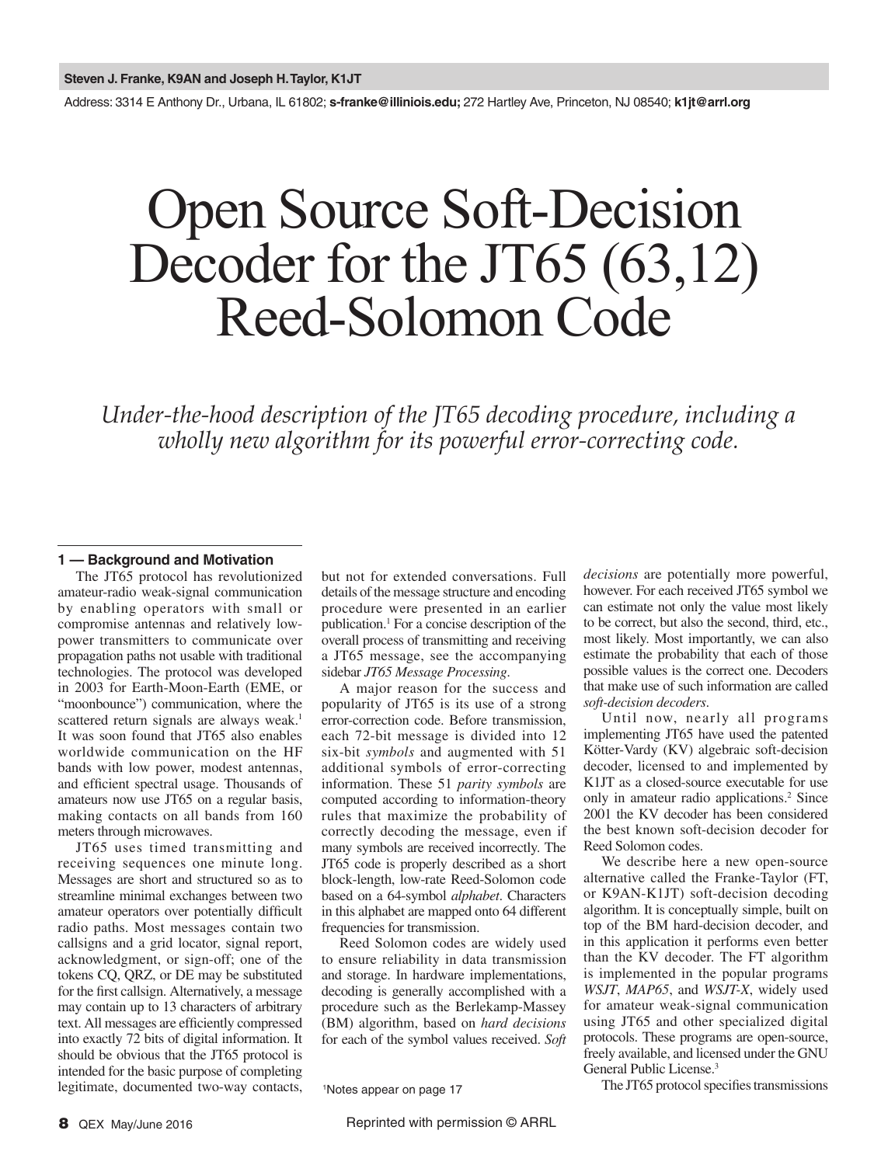Address: 3314 E Anthony Dr., Urbana, IL 61802; **s-franke@illiniois.edu;** 272 Hartley Ave, Princeton, NJ 08540; **k1jt@arrl.org**

# Open Source Soft-Decision Decoder for the JT65 (63,12) Reed-Solomon Code

*Under-the-hood description of the JT65 decoding procedure, including a wholly new algorithm for its powerful error-correcting code.*

#### **1 — Background and Motivation**

The JT65 protocol has revolutionized amateur-radio weak-signal communication by enabling operators with small or compromise antennas and relatively lowpower transmitters to communicate over propagation paths not usable with traditional technologies. The protocol was developed in 2003 for Earth-Moon-Earth (EME, or "moonbounce") communication, where the scattered return signals are always weak.<sup>1</sup> It was soon found that JT65 also enables worldwide communication on the HF bands with low power, modest antennas, and efficient spectral usage. Thousands of amateurs now use JT65 on a regular basis, making contacts on all bands from 160 meters through microwaves.

JT65 uses timed transmitting and receiving sequences one minute long. Messages are short and structured so as to streamline minimal exchanges between two amateur operators over potentially difficult radio paths. Most messages contain two callsigns and a grid locator, signal report, acknowledgment, or sign-off; one of the tokens CQ, QRZ, or DE may be substituted for the first callsign. Alternatively, a message may contain up to 13 characters of arbitrary text. All messages are efficiently compressed into exactly 72 bits of digital information. It should be obvious that the JT65 protocol is intended for the basic purpose of completing legitimate, documented two-way contacts, but not for extended conversations. Full details of the message structure and encoding procedure were presented in an earlier publication.1 For a concise description of the overall process of transmitting and receiving a JT65 message, see the accompanying sidebar *JT65 Message Processing*.

A major reason for the success and popularity of JT65 is its use of a strong error-correction code. Before transmission, each 72-bit message is divided into 12 six-bit *symbols* and augmented with 51 additional symbols of error-correcting information. These 51 *parity symbols* are computed according to information-theory rules that maximize the probability of correctly decoding the message, even if many symbols are received incorrectly. The JT65 code is properly described as a short block-length, low-rate Reed-Solomon code based on a 64-symbol *alphabet*. Characters in this alphabet are mapped onto 64 different frequencies for transmission.

Reed Solomon codes are widely used to ensure reliability in data transmission and storage. In hardware implementations, decoding is generally accomplished with a procedure such as the Berlekamp-Massey (BM) algorithm, based on *hard decisions* for each of the symbol values received. *Soft*  *decisions* are potentially more powerful, however. For each received JT65 symbol we can estimate not only the value most likely to be correct, but also the second, third, etc., most likely. Most importantly, we can also estimate the probability that each of those possible values is the correct one. Decoders that make use of such information are called *soft-decision decoders*.

Until now, nearly all programs implementing JT65 have used the patented Kötter-Vardy (KV) algebraic soft-decision decoder, licensed to and implemented by K1JT as a closed-source executable for use only in amateur radio applications.2 Since 2001 the KV decoder has been considered the best known soft-decision decoder for Reed Solomon codes.

We describe here a new open-source alternative called the Franke-Taylor (FT, or K9AN-K1JT) soft-decision decoding algorithm. It is conceptually simple, built on top of the BM hard-decision decoder, and in this application it performs even better than the KV decoder. The FT algorithm is implemented in the popular programs *WSJT*, *MAP65*, and *WSJT-X*, widely used for amateur weak-signal communication using JT65 and other specialized digital protocols. These programs are open-source, freely available, and licensed under the GNU General Public License.<sup>3</sup>

The JT65 protocol specifies transmissions

<sup>1</sup> Notes appear on page 17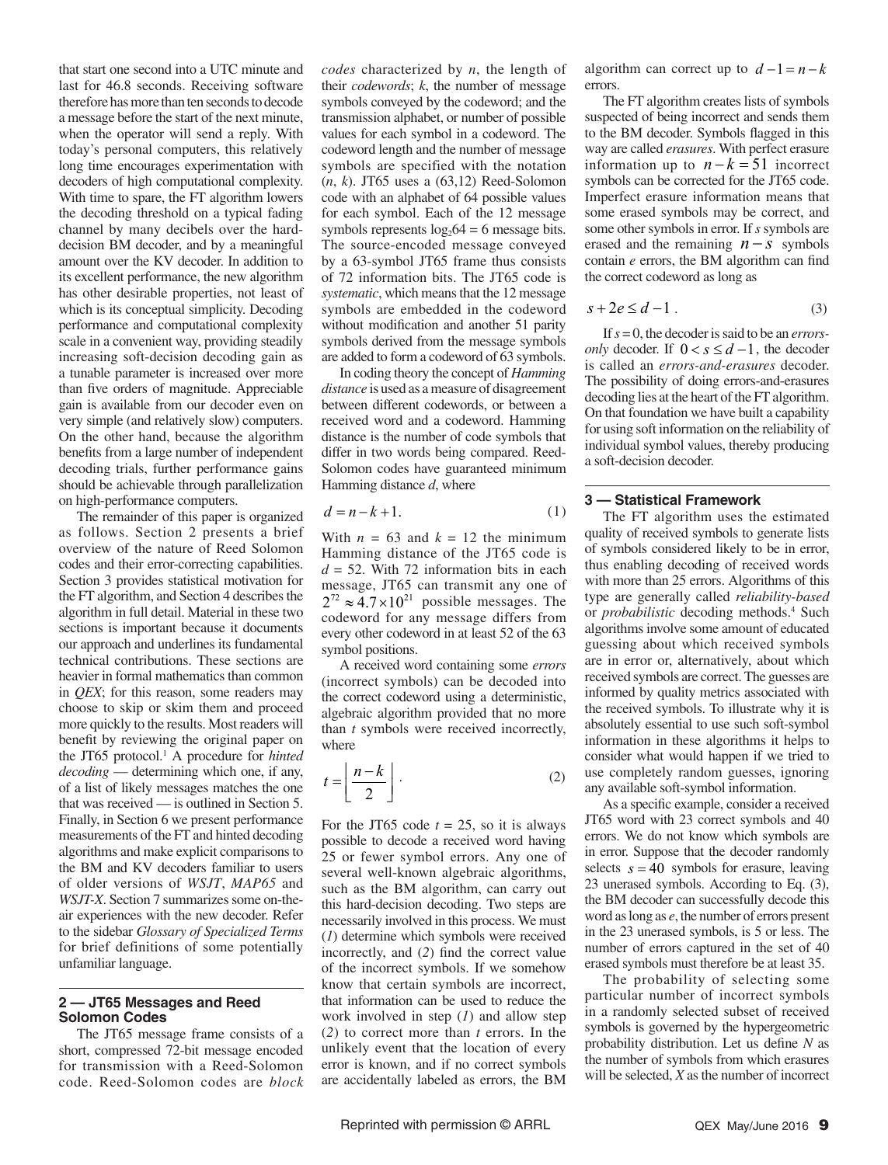that start one second into a UTC minute and last for 46.8 seconds. Receiving software therefore has more than ten seconds to decode a message before the start of the next minute, when the operator will send a reply. With today's personal computers, this relatively long time encourages experimentation with decoders of high computational complexity. With time to spare, the FT algorithm lowers the decoding threshold on a typical fading channel by many decibels over the harddecision BM decoder, and by a meaningful amount over the KV decoder. In addition to its excellent performance, the new algorithm has other desirable properties, not least of which is its conceptual simplicity. Decoding performance and computational complexity scale in a convenient way, providing steadily increasing soft-decision decoding gain as a tunable parameter is increased over more than five orders of magnitude. Appreciable gain is available from our decoder even on very simple (and relatively slow) computers. On the other hand, because the algorithm benefits from a large number of independent decoding trials, further performance gains should be achievable through parallelization on high-performance computers.

The remainder of this paper is organized as follows. Section 2 presents a brief overview of the nature of Reed Solomon codes and their error-correcting capabilities. Section 3 provides statistical motivation for the FT algorithm, and Section 4 describes the algorithm in full detail. Material in these two sections is important because it documents our approach and underlines its fundamental technical contributions. These sections are heavier in formal mathematics than common in *QEX*; for this reason, some readers may choose to skip or skim them and proceed more quickly to the results. Most readers will benefit by reviewing the original paper on the JT65 protocol.<sup>1</sup> A procedure for *hinted decoding* — determining which one, if any, of a list of likely messages matches the one that was received — is outlined in Section 5. Finally, in Section 6 we present performance measurements of the FT and hinted decoding algorithms and make explicit comparisons to the BM and KV decoders familiar to users of older versions of *WSJT*, *MAP65* and *WSJT-X*. Section 7 summarizes some on-theair experiences with the new decoder. Refer to the sidebar *Glossary of Specialized Terms* for brief definitions of some potentially unfamiliar language.

#### **2 — JT65 Messages and Reed Solomon Codes**

The JT65 message frame consists of a short, compressed 72-bit message encoded for transmission with a Reed-Solomon code. Reed-Solomon codes are *block* 

*codes* characterized by *n*, the length of their *codewords*; *k*, the number of message symbols conveyed by the codeword; and the transmission alphabet, or number of possible values for each symbol in a codeword. The codeword length and the number of message symbols are specified with the notation (*n*, *k*). JT65 uses a (63,12) Reed-Solomon code with an alphabet of 64 possible values for each symbol. Each of the 12 message symbols represents  $log_2 64 = 6$  message bits. The source-encoded message conveyed by a 63-symbol JT65 frame thus consists of 72 information bits. The JT65 code is *systematic*, which means that the 12 message symbols are embedded in the codeword without modification and another 51 parity symbols derived from the message symbols are added to form a codeword of 63 symbols.

In coding theory the concept of *Hamming distance* is used as a measure of disagreement between different codewords, or between a received word and a codeword. Hamming distance is the number of code symbols that differ in two words being compared. Reed-Solomon codes have guaranteed minimum Hamming distance *d*, where

$$
d = n - k + 1. \tag{1}
$$

With  $n = 63$  and  $k = 12$  the minimum Hamming distance of the JT65 code is *d* = 52. With 72 information bits in each message, JT65 can transmit any one of  $2^{72} \approx 4.7 \times 10^{21}$  possible messages. The codeword for any message differs from every other codeword in at least 52 of the 63 symbol positions.

A received word containing some *errors* (incorrect symbols) can be decoded into the correct codeword using a deterministic, algebraic algorithm provided that no more than *t* symbols were received incorrectly, where

$$
t = \left\lfloor \frac{n-k}{2} \right\rfloor. \tag{2}
$$

For the JT65 code  $t = 25$ , so it is always possible to decode a received word having 25 or fewer symbol errors. Any one of several well-known algebraic algorithms, such as the BM algorithm, can carry out this hard-decision decoding. Two steps are necessarily involved in this process. We must (*1*) determine which symbols were received incorrectly, and (*2*) find the correct value of the incorrect symbols. If we somehow know that certain symbols are incorrect, that information can be used to reduce the work involved in step (*1*) and allow step (*2*) to correct more than *t* errors. In the unlikely event that the location of every error is known, and if no correct symbols are accidentally labeled as errors, the BM algorithm can correct up to  $d-1 = n-k$ errors.

The FT algorithm creates lists of symbols suspected of being incorrect and sends them to the BM decoder. Symbols flagged in this way are called *erasures*. With perfect erasure information up to  $n-k = 51$  incorrect symbols can be corrected for the JT65 code. Imperfect erasure information means that some erased symbols may be correct, and some other symbols in error. If *s* symbols are erased and the remaining  $n - s$  symbols contain *e* errors, the BM algorithm can find the correct codeword as long as

$$
s + 2e \le d - 1 \tag{3}
$$

If *s* = 0, the decoder is said to be an *errorsonly* decoder. If  $0 < s \le d-1$ , the decoder is called an *errors-and-erasures* decoder. The possibility of doing errors-and-erasures decoding lies at the heart of the FT algorithm. On that foundation we have built a capability for using soft information on the reliability of individual symbol values, thereby producing a soft-decision decoder.

#### **3 — Statistical Framework**

The FT algorithm uses the estimated quality of received symbols to generate lists of symbols considered likely to be in error, thus enabling decoding of received words with more than 25 errors. Algorithms of this type are generally called *reliability-based* or *probabilistic* decoding methods.<sup>4</sup> Such algorithms involve some amount of educated guessing about which received symbols are in error or, alternatively, about which received symbols are correct. The guesses are informed by quality metrics associated with the received symbols. To illustrate why it is absolutely essential to use such soft-symbol information in these algorithms it helps to consider what would happen if we tried to use completely random guesses, ignoring any available soft-symbol information.

As a specific example, consider a received JT65 word with 23 correct symbols and 40 errors. We do not know which symbols are in error. Suppose that the decoder randomly selects  $s = 40$  symbols for erasure, leaving 23 unerased symbols. According to Eq. (3), the BM decoder can successfully decode this word as long as *e*, the number of errors present in the 23 unerased symbols, is 5 or less. The number of errors captured in the set of 40 erased symbols must therefore be at least 35.

The probability of selecting some particular number of incorrect symbols in a randomly selected subset of received symbols is governed by the hypergeometric probability distribution. Let us define *N* as the number of symbols from which erasures will be selected, *X* as the number of incorrect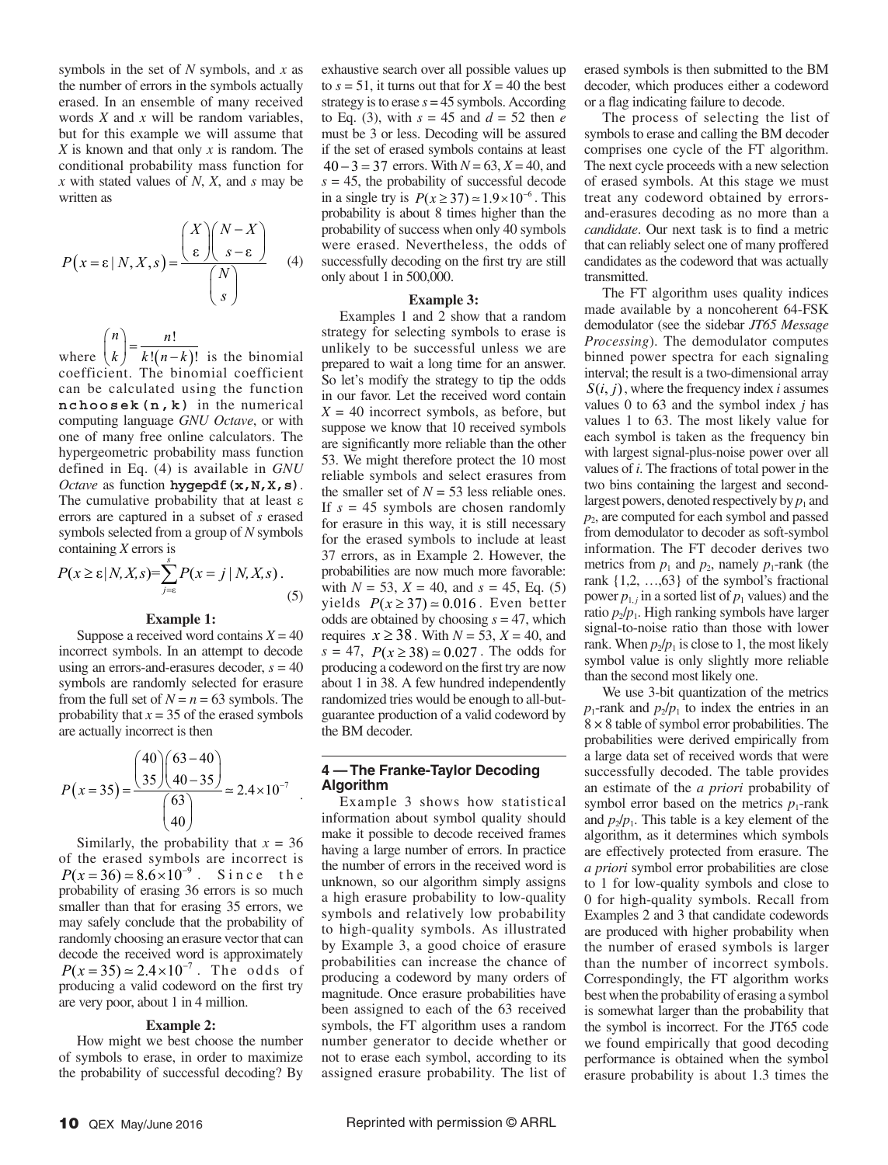symbols in the set of *N* symbols, and *x* as exhaustive search over all possible values u<br>the number of errors in the symbols estually to  $s = 51$  it turns out that for  $X = 40$  the he the number of errors in the symbols actually erased. In an ensemble of many received words  $X$  and  $x$  will be random variables,  $\frac{1}{x}$ but for this example we will assume that *X* is known and that only *x* is random. The conditional probability mass function for  $40-3=37$  errors. With N  $x$  with stated values of  $N$ ,  $X$ , and  $s$  may be written as written as

$$
P(x = \varepsilon | N, X, s) = \frac{\binom{X}{\varepsilon} \binom{N - X}{s - \varepsilon}}{\binom{N}{s}}
$$
(4)

where  $(k)$   $k!(n-k)$ !  $\binom{n}{k} = \frac{n!}{k!(n-k)!}$ *n n*  $k \int k!(n-k)!$  is the binomial coefficient. The binomial coefficient can be calculated using the function  $\mathbf{n} \cdot \mathbf{c} \cdot \mathbf{b}$  or  $\mathbf{c} \cdot \mathbf{b} \cdot \mathbf{c}$  and  $\mathbf{c} \cdot \mathbf{b} \cdot \mathbf{c}$  and  $\mathbf{c} \cdot \mathbf{b}$  and  $\mathbf{c} \cdot \mathbf{c} \cdot \mathbf{c}$  and  $\mathbf{c} \cdot \mathbf{c} \cdot \mathbf{c}$  and  $\mathbf{c} \cdot \mathbf{c} \cdot \mathbf$ **nchoosek(n,k)** in the numerical *s s*  $\texttt{nchosek}(\texttt{n}, \texttt{k})$  in the numerical  $X = 40$  inco<br>computing language *GNU Octave*, or with suppose we bone of many free online calculators. The hypergeometric probability mass function defined in Eq. (4) is available in *GNU Octave* as function **hygepdf(x,N,X,s)**. The cumulative probability that at least  $\epsilon$ errors are captured in a subset of *s* erased symbols selected from a group of *N* symbols containing *X* errors is  $\binom{n}{k} = \frac{n!}{k!(n-k)!}$ 

$$
P(x \ge \varepsilon | N, X, s) = \sum_{j=\varepsilon}^{s} P(x = j | N, X, s).
$$
 proba  
with  
(5) with

# **Example 1:**

Suppose a received word contains  $X = 40$ incorrect symbols. In an attempt to decode using an errors-and-erasures decoder, *s* = 40 symbols are randomly selected for erasure from the full set of  $N = n = 63$  symbols. The probability that  $x = 35$  of the erased symbols are actually incorrect is then

$$
P(x=35) = \frac{\binom{40}{35}\binom{63-40}{40-35}}{\binom{63}{40}} \approx 2.4 \times 10^{-7}
$$

Similarly, the probability that  $x = 36$ of the erased symbols are incorrect is  $P(x=36) \approx 8.6 \times 10^{-9}$ . Since the probability of erasing 36 errors is so much smaller than that for erasing 35 errors, we may safely conclude that the probability of randomly choosing an erasure vector that can decode the received word is approximately  $P(x=35) \approx 2.4 \times 10^{-7}$ . The odds of producing a valid codeword on the first try are very poor, about 1 in 4 million.

#### **Example 2:**

How might we best choose the number of symbols to erase, in order to maximize the probability of successful decoding? By

exhaustive search over all possible values up the number of errors in the symbols actually to  $s = 51$ , it turns out that for  $X = 40$  the best strategy is to erase  $s = 45$  symbols. According to Eq. (3), with  $s = 45$  and  $d = 52$  then *e* must be 3 or less. Decoding will be assured if the set of erased symbols contains at least  $40 - 3 = 37$  errors. With  $N = 63$ ,  $X = 40$ , and  $s = 45$ , the probability of successful decode in a single try is  $P(x \ge 37) \approx 1.9 \times 10^{-6}$ . This probability is about 8 times higher than the probability of success when only 40 symbols  $\begin{bmatrix} 1 \\ 1 \end{bmatrix}$  . The processing of stress what only to symbols successfully decoding on the first try are still only about 1 in 500,000.

#### **Example 3:**

Examples 1 and 2 show that a random strategy for selecting symbols to erase is unlikely to be successful unless we are prepared to wait a long time for an answer. So let's modify the strategy to tip the odds in our favor. Let the received word contain  $X = 40$  incorrect symbols, as before, but suppose we know that 10 received symbols are significantly more reliable than the other 53. We might therefore protect the 10 most reliable symbols and select erasures from the smaller set of  $N = 53$  less reliable ones. If *s* = 45 symbols are chosen randomly for erasure in this way, it is still necessary for the erased symbols to include at least 37 errors, as in Example 2. However, the probabilities are now much more favorable: with  $N = 53$ ,  $X = 40$ , and  $s = 45$ , Eq. (5) yields  $P(x \ge 37) \approx 0.016$ . Even better odds are obtained by choosing *s* = 47, which requires  $x \ge 38$ . With  $N = 53$ ,  $X = 40$ , and  $s = 47$ ,  $P(x \ge 38) \approx 0.027$ . The odds for producing a codeword on the first try are now about 1 in 38. A few hundred independently randomized tries would be enough to all-butguarantee production of a valid codeword by the BM decoder.

## **4 — The Franke-Taylor Decoding Algorithm**

Example 3 shows how statistical information about symbol quality should make it possible to decode received frames having a large number of errors. In practice the number of errors in the received word is unknown, so our algorithm simply assigns a high erasure probability to low-quality symbols and relatively low probability to high-quality symbols. As illustrated by Example 3, a good choice of erasure probabilities can increase the chance of producing a codeword by many orders of magnitude. Once erasure probabilities have been assigned to each of the 63 received symbols, the FT algorithm uses a random number generator to decide whether or not to erase each symbol, according to its assigned erasure probability. The list of erased symbols is then submitted to the BM decoder, which produces either a codeword or a flag indicating failure to decode.

The process of selecting the list of symbols to erase and calling the BM decoder comprises one cycle of the FT algorithm. The next cycle proceeds with a new selection of erased symbols. At this stage we must treat any codeword obtained by errorsand-erasures decoding as no more than a *candidate*. Our next task is to find a metric that can reliably select one of many proffered candidates as the codeword that was actually transmitted.

The FT algorithm uses quality indices made available by a noncoherent 64-FSK demodulator (see the sidebar *JT65 Message Processing*). The demodulator computes binned power spectra for each signaling interval; the result is a two-dimensional array  $S(i, j)$ , where the frequency index *i* assumes values 0 to 63 and the symbol index *j* has values 1 to 63. The most likely value for each symbol is taken as the frequency bin with largest signal-plus-noise power over all values of *i*. The fractions of total power in the two bins containing the largest and secondlargest powers, denoted respectively by  $p_1$  and *p*2, are computed for each symbol and passed from demodulator to decoder as soft-symbol information. The FT decoder derives two metrics from  $p_1$  and  $p_2$ , namely  $p_1$ -rank (the rank  $\{1,2, ..., 63\}$  of the symbol's fractional power  $p_{1,j}$  in a sorted list of  $p_1$  values) and the ratio  $p_2/p_1$ . High ranking symbols have larger signal-to-noise ratio than those with lower rank. When  $p_2/p_1$  is close to 1, the most likely symbol value is only slightly more reliable than the second most likely one.

We use 3-bit quantization of the metrics  $p_1$ -rank and  $p_2/p_1$  to index the entries in an  $8 \times 8$  table of symbol error probabilities. The probabilities were derived empirically from a large data set of received words that were successfully decoded. The table provides an estimate of the *a priori* probability of symbol error based on the metrics  $p_1$ -rank and  $p_2/p_1$ . This table is a key element of the algorithm, as it determines which symbols are effectively protected from erasure. The *a priori* symbol error probabilities are close to 1 for low-quality symbols and close to 0 for high-quality symbols. Recall from Examples 2 and 3 that candidate codewords are produced with higher probability when the number of erased symbols is larger than the number of incorrect symbols. Correspondingly, the FT algorithm works best when the probability of erasing a symbol is somewhat larger than the probability that the symbol is incorrect. For the JT65 code we found empirically that good decoding performance is obtained when the symbol erasure probability is about 1.3 times the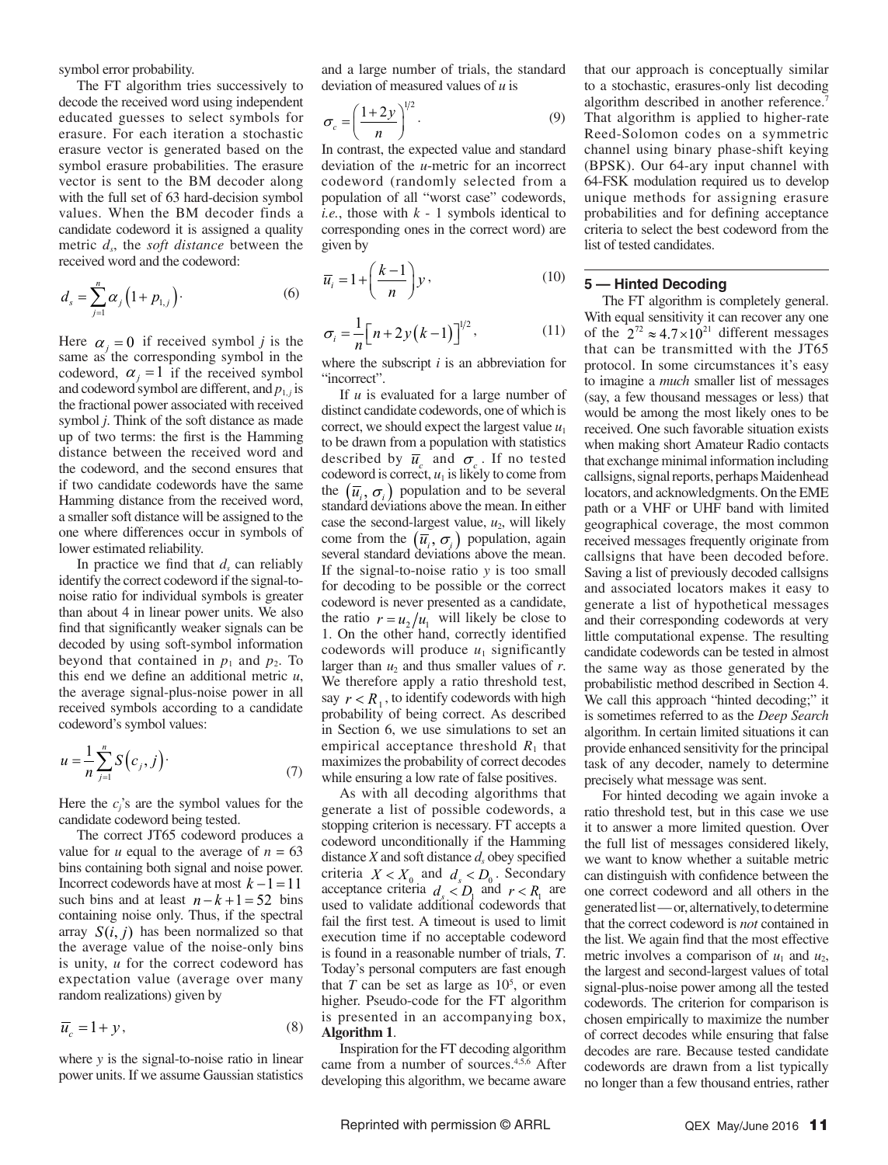symbol error probability.

The FT algorithm tries successively to decode the received word using independent educated guesses to select symbols for erasure. For each iteration a stochastic erasure vector is generated based on the symbol erasure probabilities. The erasure vector is sent to the BM decoder along with the full set of 63 hard-decision symbol values. When the BM decoder finds a candidate codeword it is assigned a quality metric *ds*, the *soft distance* between the received word and the codeword:

$$
d_s = \sum_{j=1}^{n} \alpha_j \left( 1 + p_{1,j} \right).
$$
 (6)

Here  $\alpha_i = 0$  if received symbol *j* is the same as the corresponding symbol in the codeword,  $\alpha_i = 1$  if the received symbol and codeword symbol are different, and  $p_{1,j}$  is the fractional power associated with received symbol *j*. Think of the soft distance as made up of two terms: the first is the Hamming distance between the received word and the codeword, and the second ensures that if two candidate codewords have the same Hamming distance from the received word, a smaller soft distance will be assigned to the one where differences occur in symbols of lower estimated reliability.

In practice we find that  $d_s$  can reliably identify the correct codeword if the signal-tonoise ratio for individual symbols is greater than about 4 in linear power units. We also find that significantly weaker signals can be decoded by using soft-symbol information beyond that contained in  $p_1$  and  $p_2$ . To this end we define an additional metric *u*, the average signal-plus-noise power in all received symbols according to a candidate codeword's symbol values:

$$
u = \frac{1}{n} \sum_{j=1}^{n} S\left(c_j, j\right)
$$
 (7)

Here the *cj*'s are the symbol values for the candidate codeword being tested.

The correct JT65 codeword produces a value for *u* equal to the average of  $n = 63$ bins containing both signal and noise power. Incorrect codewords have at most  $k - 1 = 11$ such bins and at least  $n-k+1=52$  bins containing noise only. Thus, if the spectral array  $S(i, j)$  has been normalized so that the average value of the noise-only bins is unity, *u* for the correct codeword has expectation value (average over many random realizations) given by

$$
\overline{u}_c = 1 + y,\tag{8}
$$

where *y* is the signal-to-noise ratio in linear power units. If we assume Gaussian statistics and a large number of trials, the standard deviation of measured values of *u* is

$$
\sigma_c = \left(\frac{1+2y}{n}\right)^{1/2}.\tag{9}
$$

In contrast, the expected value and standard deviation of the *u*-metric for an incorrect codeword (randomly selected from a population of all "worst case" codewords, *i.e.*, those with *k* - 1 symbols identical to corresponding ones in the correct word) are given by

$$
\overline{u_i} = 1 + \left(\frac{k-1}{n}\right) y,\tag{10}
$$

$$
\sigma_i = \frac{1}{n} \Big[ n + 2y(k-1) \Big]^{1/2}, \tag{11}
$$

where the subscript *i* is an abbreviation for "incorrect".

If *u* is evaluated for a large number of distinct candidate codewords, one of which is correct, we should expect the largest value  $u_1$ to be drawn from a population with statistics described by  $\overline{u}_c$  and  $\sigma_c$ . If no tested codeword is correct,  $u_1$  is likely to come from the  $(\overline{u_i}, \sigma_i)$  population and to be several standard deviations above the mean. In either case the second-largest value,  $u_2$ , will likely come from the  $(\overline{u_i}, \sigma_i)$  population, again several standard deviations above the mean. If the signal-to-noise ratio *y* is too small for decoding to be possible or the correct codeword is never presented as a candidate, the ratio  $r = u_1 / u_1$  will likely be close to 1. On the other hand, correctly identified codewords will produce  $u_1$  significantly larger than  $u_2$  and thus smaller values of  $r$ . We therefore apply a ratio threshold test, say  $r < R<sub>1</sub>$ , to identify codewords with high probability of being correct. As described in Section 6, we use simulations to set an empirical acceptance threshold  $R_1$  that maximizes the probability of correct decodes while ensuring a low rate of false positives.

As with all decoding algorithms that generate a list of possible codewords, a stopping criterion is necessary. FT accepts a codeword unconditionally if the Hamming distance  $X$  and soft distance  $d_s$  obey specified criteria  $X < X_0$  and  $d_s < D_0$ . Secondary acceptance criteria  $d_{s} < D_{1}$  and  $r < R_{1}$  are used to validate additional codewords that fail the first test. A timeout is used to limit execution time if no acceptable codeword is found in a reasonable number of trials, *T*. Today's personal computers are fast enough that  $T$  can be set as large as  $10^5$ , or even higher. Pseudo-code for the FT algorithm is presented in an accompanying box, **Algorithm 1**.

Inspiration for the FT decoding algorithm came from a number of sources.4,5,6 After developing this algorithm, we became aware

that our approach is conceptually similar to a stochastic, erasures-only list decoding algorithm described in another reference.<sup>7</sup> That algorithm is applied to higher-rate Reed-Solomon codes on a symmetric channel using binary phase-shift keying (BPSK). Our 64-ary input channel with 64-FSK modulation required us to develop unique methods for assigning erasure probabilities and for defining acceptance criteria to select the best codeword from the list of tested candidates.

#### **5 — Hinted Decoding**

The FT algorithm is completely general. With equal sensitivity it can recover any one of the  $2^{72} \approx 4.7 \times 10^{21}$  different messages that can be transmitted with the JT65 protocol. In some circumstances it's easy to imagine a *much* smaller list of messages (say, a few thousand messages or less) that would be among the most likely ones to be received. One such favorable situation exists when making short Amateur Radio contacts that exchange minimal information including callsigns, signal reports, perhaps Maidenhead locators, and acknowledgments. On the EME path or a VHF or UHF band with limited geographical coverage, the most common received messages frequently originate from callsigns that have been decoded before. Saving a list of previously decoded callsigns and associated locators makes it easy to generate a list of hypothetical messages and their corresponding codewords at very little computational expense. The resulting candidate codewords can be tested in almost the same way as those generated by the probabilistic method described in Section 4. We call this approach "hinted decoding;" it is sometimes referred to as the *Deep Search* algorithm. In certain limited situations it can provide enhanced sensitivity for the principal task of any decoder, namely to determine precisely what message was sent.

For hinted decoding we again invoke a ratio threshold test, but in this case we use it to answer a more limited question. Over the full list of messages considered likely, we want to know whether a suitable metric can distinguish with confidence between the one correct codeword and all others in the generated list — or, alternatively, to determine that the correct codeword is *not* contained in the list. We again find that the most effective metric involves a comparison of  $u_1$  and  $u_2$ , the largest and second-largest values of total signal-plus-noise power among all the tested codewords. The criterion for comparison is chosen empirically to maximize the number of correct decodes while ensuring that false decodes are rare. Because tested candidate codewords are drawn from a list typically no longer than a few thousand entries, rather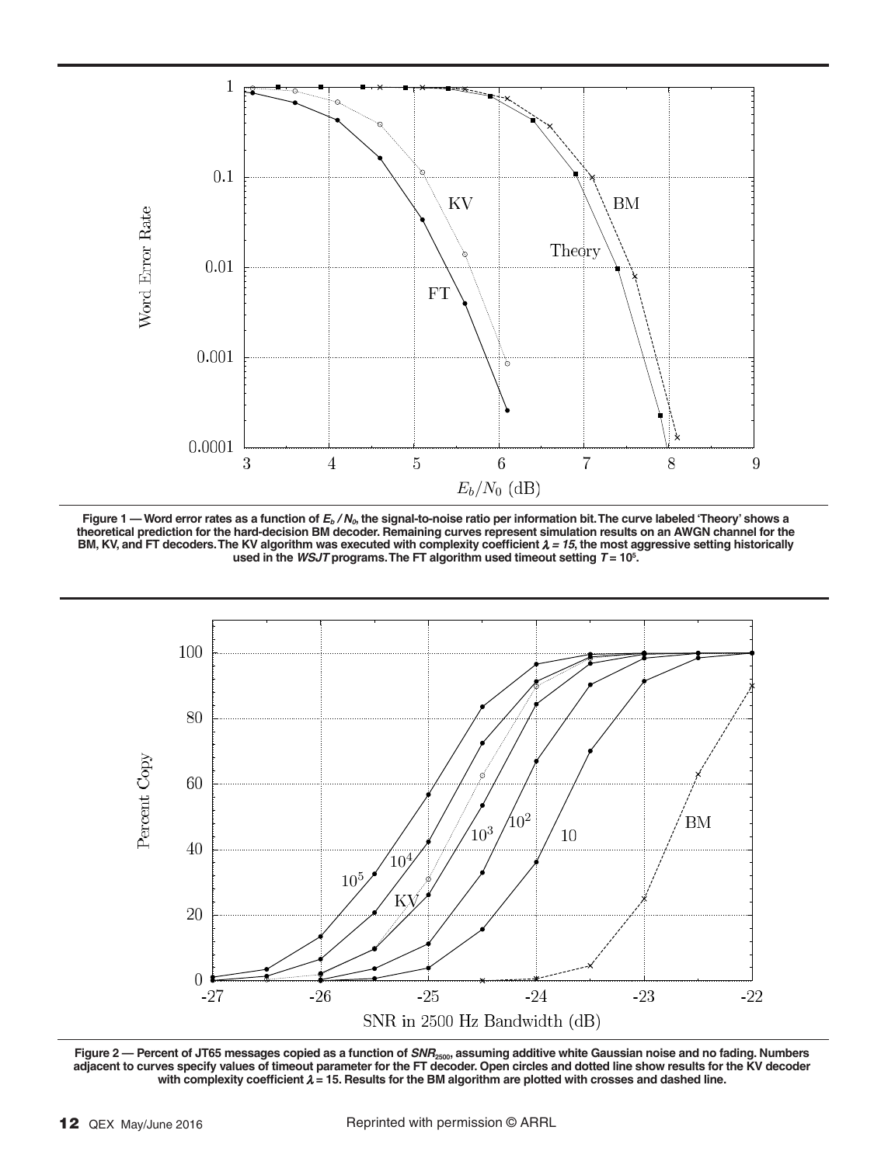

Figure 1 — Word error rates as a function of  $E_b/N_b$ , the signal-to-noise ratio per information bit. The curve labeled 'Theory' shows a **theoretical prediction for the hard-decision BM decoder. Remaining curves represent simulation results on an AWGN channel for the**  BM, KV, and FT decoders. The KV algorithm was executed with complexity coefficient  $\lambda$  = 15, the most aggressive setting historically **used in the** *WSJT* **programs. The FT algorithm used timeout setting** *T* **= 105 .**



Figure 2 - Percent of JT65 messages copied as a function of SNR<sub>2500</sub>, assuming additive white Gaussian noise and no fading. Numbers **adjacent to curves specify values of timeout parameter for the FT decoder. Open circles and dotted line show results for the KV decoder**  with complexity coefficient  $\lambda$  = 15. Results for the BM algorithm are plotted with crosses and dashed line.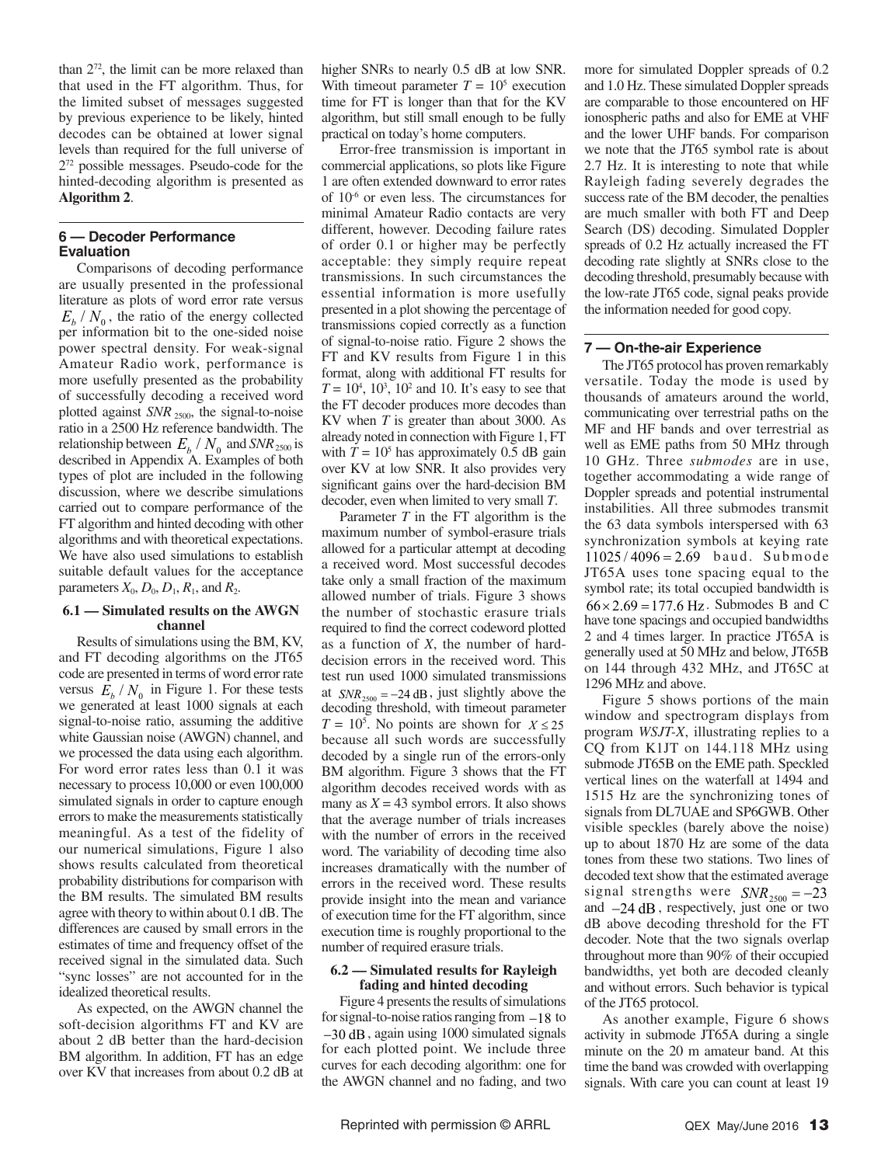than  $2^{72}$ , the limit can be more relaxed than that used in the FT algorithm. Thus, for the limited subset of messages suggested by previous experience to be likely, hinted decodes can be obtained at lower signal levels than required for the full universe of 272 possible messages. Pseudo-code for the hinted-decoding algorithm is presented as **Algorithm 2**.

### **6 — Decoder Performance Evaluation**

Comparisons of decoding performance are usually presented in the professional literature as plots of word error rate versus  $E<sub>b</sub> / N<sub>0</sub>$ , the ratio of the energy collected per information bit to the one-sided noise power spectral density. For weak-signal Amateur Radio work, performance is more usefully presented as the probability of successfully decoding a received word plotted against *SNR* <sub>2500</sub>, the signal-to-noise ratio in a 2500 Hz reference bandwidth. The relationship between  $E<sub>b</sub> / N<sub>0</sub>$  and *SNR*<sub>2500</sub> is described in Appendix A. Examples of both types of plot are included in the following discussion, where we describe simulations carried out to compare performance of the FT algorithm and hinted decoding with other algorithms and with theoretical expectations. We have also used simulations to establish suitable default values for the acceptance parameters  $X_0$ ,  $D_0$ ,  $D_1$ ,  $R_1$ , and  $R_2$ .

#### **6.1 — Simulated results on the AWGN channel**

Results of simulations using the BM, KV, and FT decoding algorithms on the JT65 code are presented in terms of word error rate versus  $E_b / N_0$  in Figure 1. For these tests we generated at least 1000 signals at each signal-to-noise ratio, assuming the additive white Gaussian noise (AWGN) channel, and we processed the data using each algorithm. For word error rates less than 0.1 it was necessary to process 10,000 or even 100,000 simulated signals in order to capture enough errors to make the measurements statistically meaningful. As a test of the fidelity of our numerical simulations, Figure 1 also shows results calculated from theoretical probability distributions for comparison with the BM results. The simulated BM results agree with theory to within about 0.1 dB. The differences are caused by small errors in the estimates of time and frequency offset of the received signal in the simulated data. Such "sync losses" are not accounted for in the idealized theoretical results.

As expected, on the AWGN channel the soft-decision algorithms FT and KV are about 2 dB better than the hard-decision BM algorithm. In addition, FT has an edge over KV that increases from about 0.2 dB at higher SNRs to nearly 0.5 dB at low SNR. With timeout parameter  $T = 10^5$  execution time for FT is longer than that for the KV algorithm, but still small enough to be fully practical on today's home computers.

Error-free transmission is important in commercial applications, so plots like Figure 1 are often extended downward to error rates of 10-6 or even less. The circumstances for minimal Amateur Radio contacts are very different, however. Decoding failure rates of order 0.1 or higher may be perfectly acceptable: they simply require repeat transmissions. In such circumstances the essential information is more usefully presented in a plot showing the percentage of transmissions copied correctly as a function of signal-to-noise ratio. Figure 2 shows the FT and KV results from Figure 1 in this format, along with additional FT results for  $T = 10^4$ ,  $10^3$ ,  $10^2$  and 10. It's easy to see that the FT decoder produces more decodes than KV when *T* is greater than about 3000. As already noted in connection with Figure 1, FT with  $T = 10<sup>5</sup>$  has approximately 0.5 dB gain over KV at low SNR. It also provides very significant gains over the hard-decision BM decoder, even when limited to very small *T*.

Parameter *T* in the FT algorithm is the maximum number of symbol-erasure trials allowed for a particular attempt at decoding a received word. Most successful decodes take only a small fraction of the maximum allowed number of trials. Figure 3 shows the number of stochastic erasure trials required to find the correct codeword plotted as a function of *X*, the number of harddecision errors in the received word. This test run used 1000 simulated transmissions at  $SNR_{2500} = -24$  dB, just slightly above the decoding threshold, with timeout parameter  $T = 10^5$ . No points are shown for  $X \le 25$ because all such words are successfully decoded by a single run of the errors-only BM algorithm. Figure 3 shows that the FT algorithm decodes received words with as many as  $X = 43$  symbol errors. It also shows that the average number of trials increases with the number of errors in the received word. The variability of decoding time also increases dramatically with the number of errors in the received word. These results provide insight into the mean and variance of execution time for the FT algorithm, since execution time is roughly proportional to the number of required erasure trials.

#### **6.2 — Simulated results for Rayleigh fading and hinted decoding**

Figure 4 presents the results of simulations for signal-to-noise ratios ranging from −18 to −30 dB, again using 1000 simulated signals for each plotted point. We include three curves for each decoding algorithm: one for the AWGN channel and no fading, and two more for simulated Doppler spreads of 0.2 and 1.0 Hz. These simulated Doppler spreads are comparable to those encountered on HF ionospheric paths and also for EME at VHF and the lower UHF bands. For comparison we note that the JT65 symbol rate is about 2.7 Hz. It is interesting to note that while Rayleigh fading severely degrades the success rate of the BM decoder, the penalties are much smaller with both FT and Deep Search (DS) decoding. Simulated Doppler spreads of 0.2 Hz actually increased the FT decoding rate slightly at SNRs close to the decoding threshold, presumably because with the low-rate JT65 code, signal peaks provide the information needed for good copy.

## **7 — On-the-air Experience**

The JT65 protocol has proven remarkably versatile. Today the mode is used by thousands of amateurs around the world, communicating over terrestrial paths on the MF and HF bands and over terrestrial as well as EME paths from 50 MHz through 10 GHz. Three *submodes* are in use, together accommodating a wide range of Doppler spreads and potential instrumental instabilities. All three submodes transmit the 63 data symbols interspersed with 63 synchronization symbols at keying rate  $11025 / 4096 = 2.69$  baud. Submode JT65A uses tone spacing equal to the symbol rate; its total occupied bandwidth is  $66 \times 2.69 = 177.6$  Hz. Submodes B and C have tone spacings and occupied bandwidths 2 and 4 times larger. In practice JT65A is generally used at 50 MHz and below, JT65B on 144 through 432 MHz, and JT65C at 1296 MHz and above.

Figure 5 shows portions of the main window and spectrogram displays from program *WSJT-X*, illustrating replies to a CQ from K1JT on 144.118 MHz using submode JT65B on the EME path. Speckled vertical lines on the waterfall at 1494 and 1515 Hz are the synchronizing tones of signals from DL7UAE and SP6GWB. Other visible speckles (barely above the noise) up to about 1870 Hz are some of the data tones from these two stations. Two lines of decoded text show that the estimated average signal strengths were  $SNR_{2500} = -23$ and −24 dB, respectively, just one or two dB above decoding threshold for the FT decoder. Note that the two signals overlap throughout more than 90% of their occupied bandwidths, yet both are decoded cleanly and without errors. Such behavior is typical of the JT65 protocol.

As another example, Figure 6 shows activity in submode JT65A during a single minute on the 20 m amateur band. At this time the band was crowded with overlapping signals. With care you can count at least 19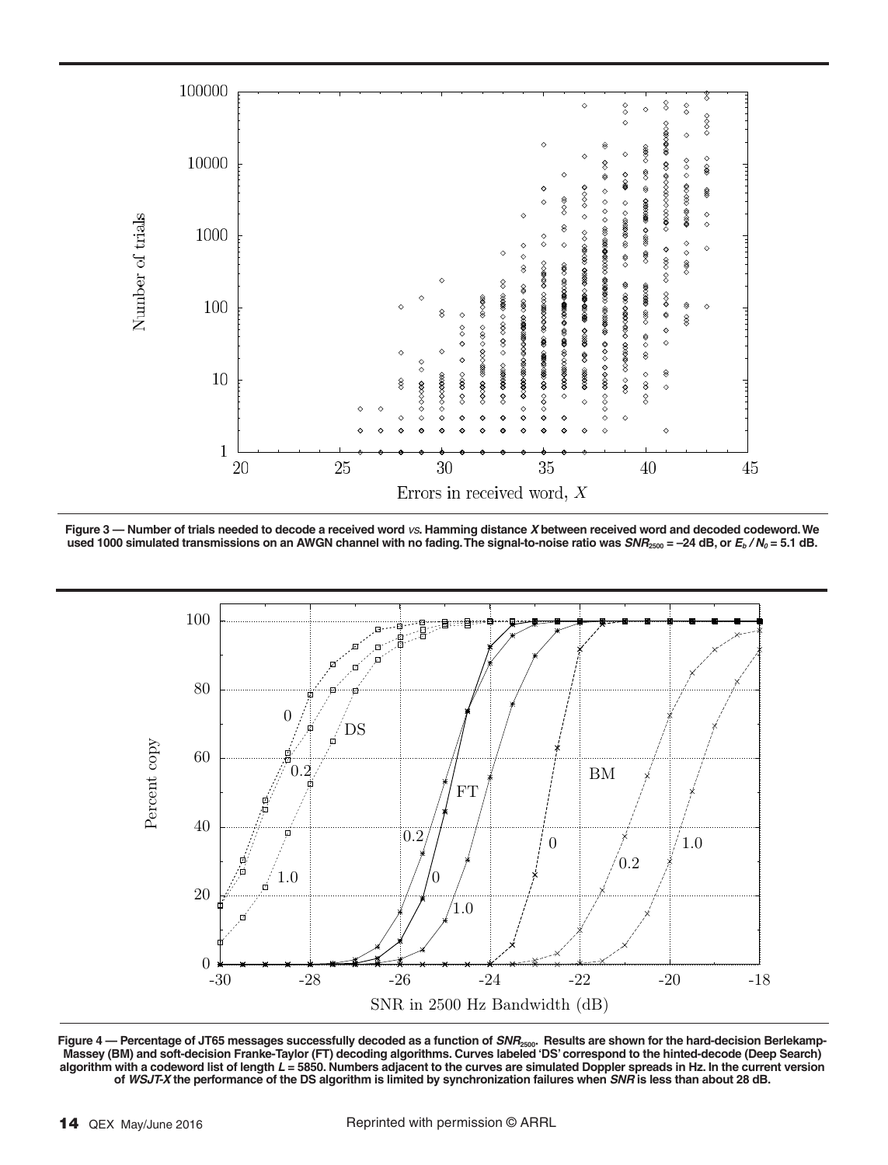





**Figure 4 — Percentage of JT65 messages successfully decoded as a function of** *SNR***2500. Results are shown for the hard-decision Berlekamp-Massey (BM) and soft-decision Franke-Taylor (FT) decoding algorithms. Curves labeled 'DS' correspond to the hinted-decode (Deep Search) algorithm with a codeword list of length** *L* **= 5850. Numbers adjacent to the curves are simulated Doppler spreads in Hz. In the current version of** *WSJT‑X* **the performance of the DS algorithm is limited by synchronization failures when** *SNR* **is less than about 28 dB.**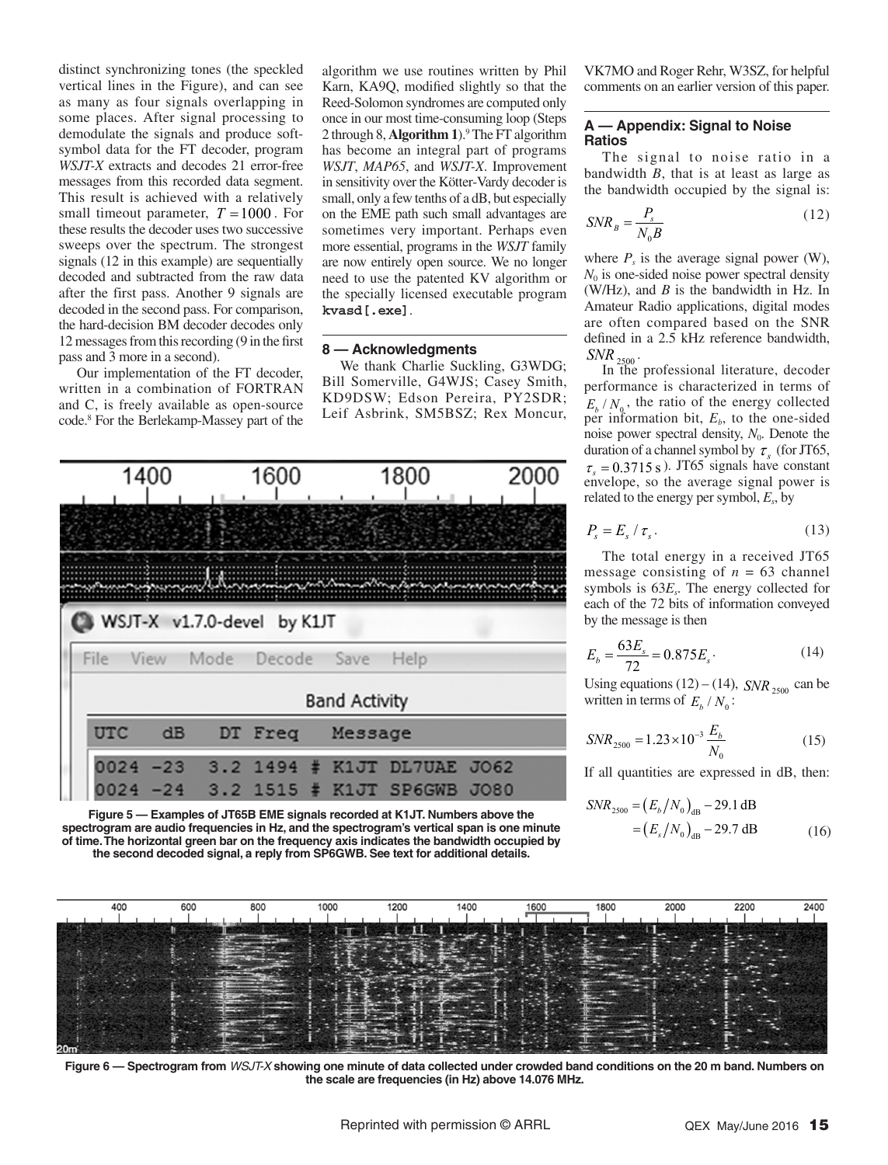distinct synchronizing tones (the speckled vertical lines in the Figure), and can see as many as four signals overlapping in some places. After signal processing to demodulate the signals and produce softsymbol data for the FT decoder, program *WSJT-X* extracts and decodes 21 error-free messages from this recorded data segment. This result is achieved with a relatively small timeout parameter,  $T = 1000$ . For these results the decoder uses two successive sweeps over the spectrum. The strongest signals (12 in this example) are sequentially decoded and subtracted from the raw data after the first pass. Another 9 signals are decoded in the second pass. For comparison, the hard-decision BM decoder decodes only 12 messages from this recording (9 in the first pass and 3 more in a second).

Our implementation of the FT decoder, written in a combination of FORTRAN and C, is freely available as open-source code.8 For the Berlekamp-Massey part of the algorithm we use routines written by Phil Karn, KA9Q, modified slightly so that the Reed-Solomon syndromes are computed only once in our most time-consuming loop (Steps 2 through 8, **Algorithm 1**).<sup>9</sup> The FT algorithm has become an integral part of programs *WSJT*, *MAP65*, and *WSJT-X*. Improvement in sensitivity over the Kötter-Vardy decoder is small, only a few tenths of a dB, but especially on the EME path such small advantages are sometimes very important. Perhaps even more essential, programs in the *WSJT* family are now entirely open source. We no longer need to use the patented KV algorithm or the specially licensed executable program **kvasd[.exe]**.

## **8 — Acknowledgments**

We thank Charlie Suckling, G3WDG; Bill Somerville, G4WJS; Casey Smith, KD9DSW; Edson Pereira, PY2SDR; Leif Asbrink, SM5BSZ; Rex Moncur,



**Figure 5 — Examples of JT65B EME signals recorded at K1JT. Numbers above the spectrogram are audio frequencies in Hz, and the spectrogram's vertical span is one minute of time. The horizontal green bar on the frequency axis indicates the bandwidth occupied by the second decoded signal, a reply from SP6GWB. See text for additional details.**

VK7MO and Roger Rehr, W3SZ, for helpful comments on an earlier version of this paper.

#### **A — Appendix: Signal to Noise Ratios**

The signal to noise ratio in a bandwidth *B*, that is at least as large as the bandwidth occupied by the signal is:

$$
SNR_B = \frac{P_s}{N_0 B} \tag{12}
$$

where  $P_s$  is the average signal power (W),  $N_0$  is one-sided noise power spectral density (W/Hz), and *B* is the bandwidth in Hz. In Amateur Radio applications, digital modes are often compared based on the SNR defined in a 2.5 kHz reference bandwidth,  $SNR_{2500}$ .

In the professional literature, decoder performance is characterized in terms of  $E_1 / N_a$ , the ratio of the energy collected per information bit,  $E<sub>b</sub>$ , to the one-sided noise power spectral density,  $N_0$ . Denote the duration of a channel symbol by  $\tau_{\rm s}$  (for JT65,  $\tau_z = 0.3715 \text{ s}$ ). JT65 signals have constant envelope, so the average signal power is related to the energy per symbol, *Es*, by

$$
P_s = E_s / \tau_s. \tag{13}
$$

The total energy in a received JT65 message consisting of  $n = 63$  channel symbols is 63*Es*. The energy collected for each of the 72 bits of information conveyed by the message is then

$$
E_b = \frac{63E_s}{72} = 0.875E_s \tag{14}
$$

Using equations  $(12) - (14)$ , *SNR* <sub>2500</sub> can be written in terms of  $E_h / N_0$ :

$$
SNR_{2500} = 1.23 \times 10^{-3} \frac{E_b}{N_0}
$$
 (15)

If all quantities are expressed in dB, then:

$$
SNR_{2500} = (E_b/N_0)_{dB} - 29.1 \text{ dB}
$$
  
=  $(E_s/N_0)_{dB} - 29.7 \text{ dB}$  (16)



**Figure 6 — Spectrogram from** *WSJT‑X* **showing one minute of data collected under crowded band conditions on the 20 m band. Numbers on the scale are frequencies (in Hz) above 14.076 MHz.**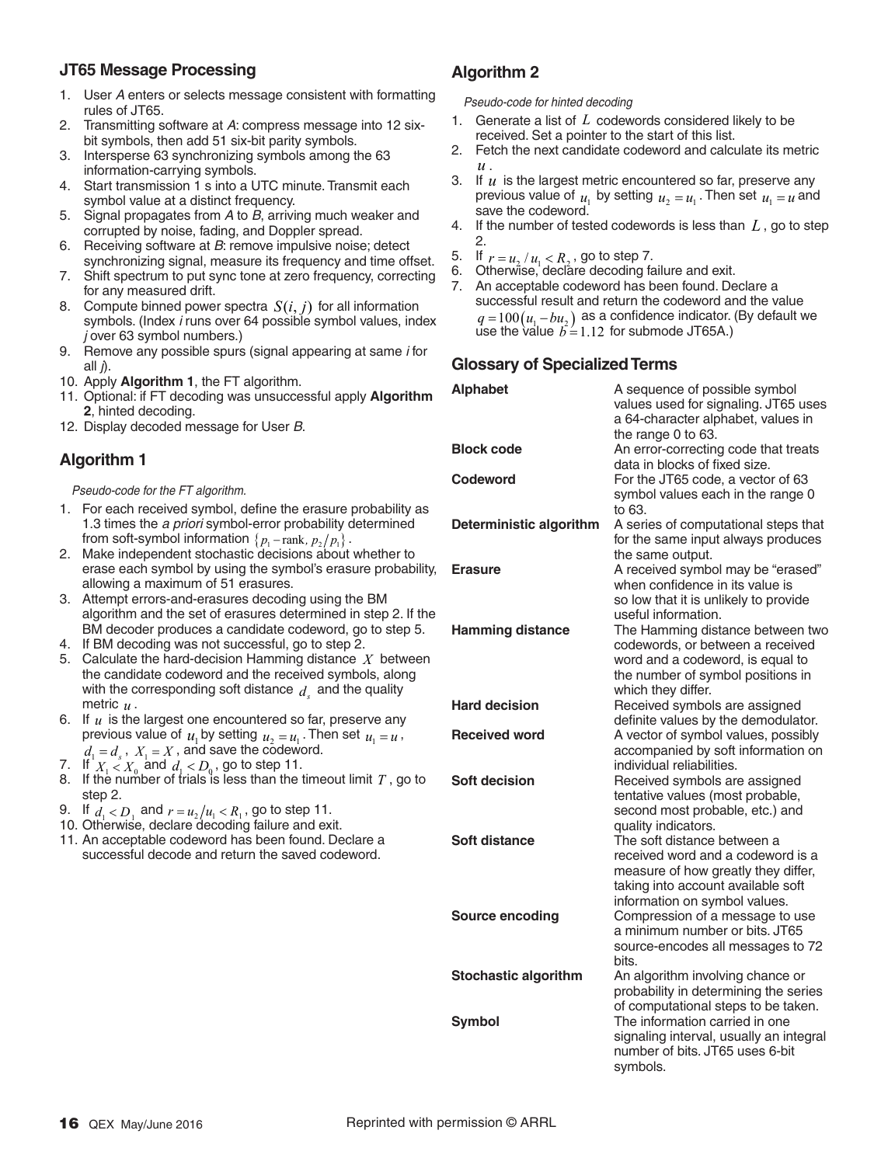# **JT65 Message Processing**

- 1. User *A* enters or selects message consistent with formatting rules of JT65.
- 2. Transmitting software at *A*: compress message into 12 sixbit symbols, then add 51 six-bit parity symbols.
- 3. Intersperse 63 synchronizing symbols among the 63 information-carrying symbols.
- 4. Start transmission 1 s into a UTC minute. Transmit each symbol value at a distinct frequency.
- 5. Signal propagates from *A* to *B*, arriving much weaker and corrupted by noise, fading, and Doppler spread.
- 6. Receiving software at *B*: remove impulsive noise; detect synchronizing signal, measure its frequency and time offset.
- 7. Shift spectrum to put sync tone at zero frequency, correcting for any measured drift.
- 8. Compute binned power spectra  $S(i, j)$  for all information symbols. (Index *i* runs over 64 possible symbol values, index *j* over 63 symbol numbers.)
- 9. Remove any possible spurs (signal appearing at same *i* for all *j*).
- 10. Apply **Algorithm 1**, the FT algorithm.
- 11. Optional: if FT decoding was unsuccessful apply **Algorithm 2**, hinted decoding.
- 12. Display decoded message for User *B*.

# **Algorithm 1**

*Pseudo-code for the FT algorithm.*

- 1. For each received symbol, define the erasure probability as 1.3 times the *a priori* symbol-error probability determined from soft-symbol information  $\{p_1$ -rank,  $p_2/p_1\}$ .
- 2. Make independent stochastic decisions about whether to erase each symbol by using the symbol's erasure probability, allowing a maximum of 51 erasures.
- 3. Attempt errors-and-erasures decoding using the BM algorithm and the set of erasures determined in step 2. If the BM decoder produces a candidate codeword, go to step 5.
- 4. If BM decoding was not successful, go to step 2.
- 5. Calculate the hard-decision Hamming distance *X* between the candidate codeword and the received symbols, along with the corresponding soft distance  $d<sub>s</sub>$  and the quality metric *u* .
- 6. If  $u$  is the largest one encountered so far, preserve any previous value of  $u_1$  by setting  $u_2 = u_1$ . Then set  $u_1 = u_2$ ,  $d_1 = d_s$ ,  $X_1 = X$ , and save the codeword.
- 7. If  $X_1 \leq X_0$  and  $d_1 < D_0$ , go to step 11.
- 8. If the number of trials is less than the timeout limit *T* , go to step 2.
- 9. If  $d_1 < D_1$  and  $r = u_2/u_1 < R_1$ , go to step 11.
- 10. Otherwise, declare decoding failure and exit.
- 11. An acceptable codeword has been found. Declare a successful decode and return the saved codeword.

# **Algorithm 2**

## *Pseudo-code for hinted decoding*

- 1. Generate a list of *L* codewords considered likely to be received. Set a pointer to the start of this list.
- 2. Fetch the next candidate codeword and calculate its metric *u* .
- 3. If *u* is the largest metric encountered so far, preserve any previous value of  $u_1$ , by setting  $u_2 = u_1$ . Then set  $u_1 = u$  and save the codeword.
- 4. If the number of tested codewords is less than *L* , go to step 2.
- 5. If  $r = u_2 / u_1 < R_2$ , go to step 7.<br>6. Otherwise, declare decoding fa
- 6. Otherwise, declare decoding failure and exit.
- 7. An acceptable codeword has been found. Declare a successful result and return the codeword and the value  $q = 100(u_1 - bu_2)$  as a confidence indicator. (By default we use the value  $b = 1.12$  for submode JT65A.)

# **Glossary of Specialized Terms**

|         | <b>Alphabet</b>             | A sequence of possible symbol<br>values used for signaling. JT65 uses<br>a 64-character alphabet, values in<br>the range 0 to 63.                                              |
|---------|-----------------------------|--------------------------------------------------------------------------------------------------------------------------------------------------------------------------------|
|         | <b>Block code</b>           | An error-correcting code that treats<br>data in blocks of fixed size.                                                                                                          |
|         | Codeword                    | For the JT65 code, a vector of 63<br>symbol values each in the range 0<br>to 63.                                                                                               |
|         | Deterministic algorithm     | A series of computational steps that<br>for the same input always produces<br>the same output.                                                                                 |
| y,<br>Э | <b>Erasure</b>              | A received symbol may be "erased"<br>when confidence in its value is<br>so low that it is unlikely to provide<br>useful information.                                           |
|         | <b>Hamming distance</b>     | The Hamming distance between two<br>codewords, or between a received<br>word and a codeword, is equal to<br>the number of symbol positions in<br>which they differ.            |
|         | <b>Hard decision</b>        | Received symbols are assigned<br>definite values by the demodulator.                                                                                                           |
|         | <b>Received word</b>        | A vector of symbol values, possibly<br>accompanied by soft information on<br>individual reliabilities.                                                                         |
|         | Soft decision               | Received symbols are assigned<br>tentative values (most probable,<br>second most probable, etc.) and<br>quality indicators.                                                    |
|         | Soft distance               | The soft distance between a<br>received word and a codeword is a<br>measure of how greatly they differ,<br>taking into account available soft<br>information on symbol values. |
|         | Source encoding             | Compression of a message to use<br>a minimum number or bits. JT65<br>source-encodes all messages to 72<br>bits.                                                                |
|         | <b>Stochastic algorithm</b> | An algorithm involving chance or<br>probability in determining the series<br>of computational steps to be taken.                                                               |
|         | <b>Symbol</b>               | The information carried in one<br>signaling interval, usually an integral<br>number of bits. JT65 uses 6-bit<br>symbols.                                                       |